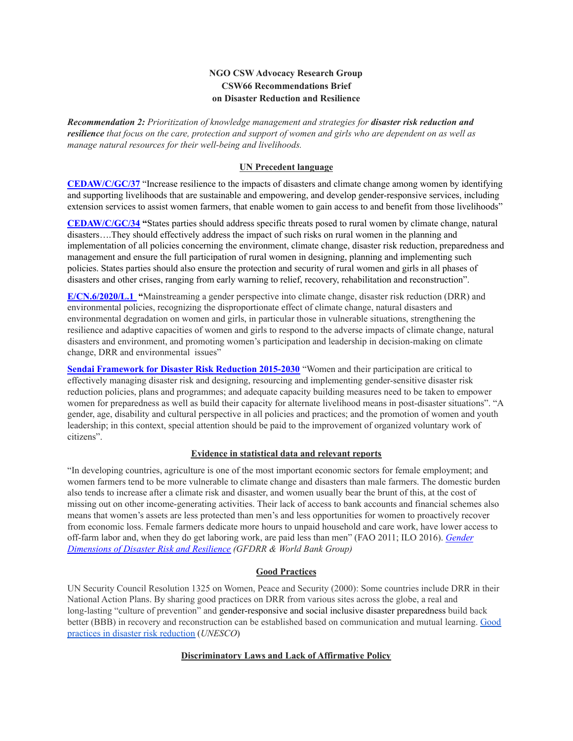# **NGO CSW Advocacy Research Group CSW66 Recommendations Brief on Disaster Reduction and Resilience**

*Recommendation 2: Prioritization of knowledge management and strategies for disaster risk reduction and* resilience that focus on the care, protection and support of women and girls who are dependent on as well as *manage natural resources for their well-being and livelihoods.*

## **UN Precedent language**

**[CEDAW/C/GC/37](https://digitallibrary.un.org/record/1626306)** "Increase resilience to the impacts of disasters and climate change among women by identifying and supporting livelihoods that are sustainable and empowering, and develop gender-responsive services, including extension services to assist women farmers, that enable women to gain access to and benefit from those livelihoods"

**[CEDAW/C/GC/34](http://www.hlrn.org/img/documents/CEDaW_GenCec_34_EN.pdf) "**States parties should address specific threats posed to rural women by climate change, natural disasters….They should effectively address the impact of such risks on rural women in the planning and implementation of all policies concerning the environment, climate change, disaster risk reduction, preparedness and management and ensure the full participation of rural women in designing, planning and implementing such policies. States parties should also ensure the protection and security of rural women and girls in all phases of disasters and other crises, ranging from early warning to relief, recovery, rehabilitation and reconstruction".

**[E/CN.6/2020/L.1](https://undocs.org/en/E/CN.6/2020/L.1) "**Mainstreaming a gender perspective into climate change, disaster risk reduction (DRR) and environmental policies, recognizing the disproportionate effect of climate change, natural disasters and environmental degradation on women and girls, in particular those in vulnerable situations, strengthening the resilience and adaptive capacities of women and girls to respond to the adverse impacts of climate change, natural disasters and environment, and promoting women's participation and leadership in decision-making on climate change, DRR and environmental issues"

**Sendai [Framework](https://www.preventionweb.net/files/resolutions/N1516716.pdf) for Disaster Risk Reduction 2015-2030** "Women and their participation are critical to effectively managing disaster risk and designing, resourcing and implementing gender-sensitive disaster risk reduction policies, plans and programmes; and adequate capacity building measures need to be taken to empower women for preparedness as well as build their capacity for alternate livelihood means in post-disaster situations". "A gender, age, disability and cultural perspective in all policies and practices; and the promotion of women and youth leadership; in this context, special attention should be paid to the improvement of organized voluntary work of citizens".

### **Evidence in statistical data and relevant reports**

"In developing countries, agriculture is one of the most important economic sectors for female employment; and women farmers tend to be more vulnerable to climate change and disasters than male farmers. The domestic burden also tends to increase after a climate risk and disaster, and women usually bear the brunt of this, at the cost of missing out on other income-generating activities. Their lack of access to bank accounts and financial schemes also means that women's assets are less protected than men's and less opportunities for women to proactively recover from economic loss. Female farmers dedicate more hours to unpaid household and care work, have lower access to off-farm labor and, when they do get laboring work, are paid less than men" (FAO 2011; ILO 2016). *[Gender](https://openknowledge.worldbank.org/bitstream/handle/10986/35202/Gender-Dimensions-of-Disaster-Risk-and-Resilience-Existing-Evidence.pdf?sequence=1&isAllowed=y) [Dimensions](https://openknowledge.worldbank.org/bitstream/handle/10986/35202/Gender-Dimensions-of-Disaster-Risk-and-Resilience-Existing-Evidence.pdf?sequence=1&isAllowed=y) of Disaster Risk and Resilience (GFDRR & World Bank Group)*

### **Good Practices**

UN Security Council Resolution 1325 on Women, Peace and Security (2000): Some countries include DRR in their National Action Plans. By sharing good practices on DRR from various sites across the globe, a real and long-lasting "culture of prevention" and gender-responsive and social inclusive disaster preparedness build back better (BBB) in recovery and reconstruction can be established based on communication and mutual learning. [Good](https://en.unesco.org/drr-sites/good-practices) practices in disaster risk [reduction](https://en.unesco.org/drr-sites/good-practices) (*UNESCO*)

### **Discriminatory Laws and Lack of Affirmative Policy**